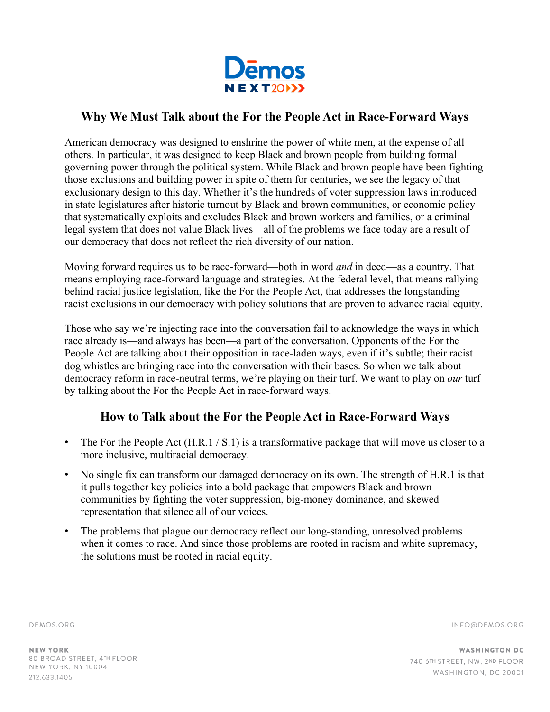

## **Why We Must Talk about the For the People Act in Race-Forward Ways**

American democracy was designed to enshrine the power of white men, at the expense of all others. In particular, it was designed to keep Black and brown people from building formal governing power through the political system. While Black and brown people have been fighting those exclusions and building power in spite of them for centuries, we see the legacy of that exclusionary design to this day. Whether it's the hundreds of voter suppression laws introduced in state legislatures after historic turnout by Black and brown communities, or economic policy that systematically exploits and excludes Black and brown workers and families, or a criminal legal system that does not value Black lives—all of the problems we face today are a result of our democracy that does not reflect the rich diversity of our nation.

Moving forward requires us to be race-forward—both in word *and* in deed—as a country. That means employing race-forward language and strategies. At the federal level, that means rallying behind racial justice legislation, like the For the People Act, that addresses the longstanding racist exclusions in our democracy with policy solutions that are proven to advance racial equity.

Those who say we're injecting race into the conversation fail to acknowledge the ways in which race already is—and always has been—a part of the conversation. Opponents of the For the People Act are talking about their opposition in race-laden ways, even if it's subtle; their racist dog whistles are bringing race into the conversation with their bases. So when we talk about democracy reform in race-neutral terms, we're playing on their turf. We want to play on *our* turf by talking about the For the People Act in race-forward ways.

# **How to Talk about the For the People Act in Race-Forward Ways**

- The For the People Act  $(H.R.1 / S.1)$  is a transformative package that will move us closer to a more inclusive, multiracial democracy.
- No single fix can transform our damaged democracy on its own. The strength of H.R.1 is that it pulls together key policies into a bold package that empowers Black and brown communities by fighting the voter suppression, big-money dominance, and skewed representation that silence all of our voices.
- The problems that plague our democracy reflect our long-standing, unresolved problems when it comes to race. And since those problems are rooted in racism and white supremacy, the solutions must be rooted in racial equity.

DEMOS.ORG

INFO@DEMOS.ORG

**NEW YORK** 80 BROAD STREET, 4TH FLOOR NEW YORK, NY 10004 212.633.1405

**WASHINGTON DC** 740 6TH STREET, NW, 2ND FLOOR WASHINGTON, DC 20001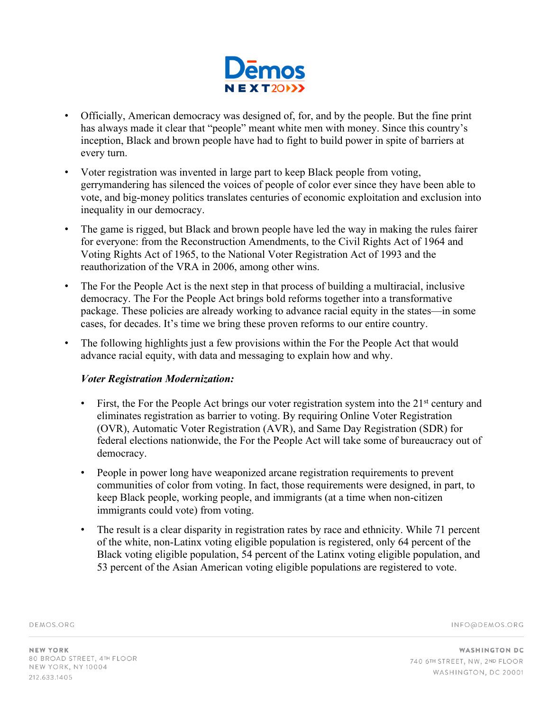

- Officially, American democracy was designed of, for, and by the people. But the fine print has always made it clear that "people" meant white men with money. Since this country's inception, Black and brown people have had to fight to build power in spite of barriers at every turn.
- Voter registration was invented in large part to keep Black people from voting, gerrymandering has silenced the voices of people of color ever since they have been able to vote, and big-money politics translates centuries of economic exploitation and exclusion into inequality in our democracy.
- The game is rigged, but Black and brown people have led the way in making the rules fairer for everyone: from the Reconstruction Amendments, to the Civil Rights Act of 1964 and Voting Rights Act of 1965, to the National Voter Registration Act of 1993 and the reauthorization of the VRA in 2006, among other wins.
- The For the People Act is the next step in that process of building a multiracial, inclusive democracy. The For the People Act brings bold reforms together into a transformative package. These policies are already working to advance racial equity in the states—in some cases, for decades. It's time we bring these proven reforms to our entire country.
- The following highlights just a few provisions within the For the People Act that would advance racial equity, with data and messaging to explain how and why.

#### *Voter Registration Modernization:*

- First, the For the People Act brings our voter registration system into the 21<sup>st</sup> century and eliminates registration as barrier to voting. By requiring Online Voter Registration (OVR), Automatic Voter Registration (AVR), and Same Day Registration (SDR) for federal elections nationwide, the For the People Act will take some of bureaucracy out of democracy.
- People in power long have weaponized arcane registration requirements to prevent communities of color from voting. In fact, those requirements were designed, in part, to keep Black people, working people, and immigrants (at a time when non-citizen immigrants could vote) from voting.
- The result is a clear disparity in registration rates by race and ethnicity. While 71 percent of the white, non-Latinx voting eligible population is registered, only 64 percent of the Black voting eligible population, 54 percent of the Latinx voting eligible population, and 53 percent of the Asian American voting eligible populations are registered to vote.

DEMOS.ORG

INFO@DEMOS.ORG

**NEW YORK** 80 BROAD STREET, 4TH FLOOR NEW YORK, NY 10004 212.633.1405

**WASHINGTON DC** 740 6TH STREET, NW, 2ND FLOOR WASHINGTON, DC 20001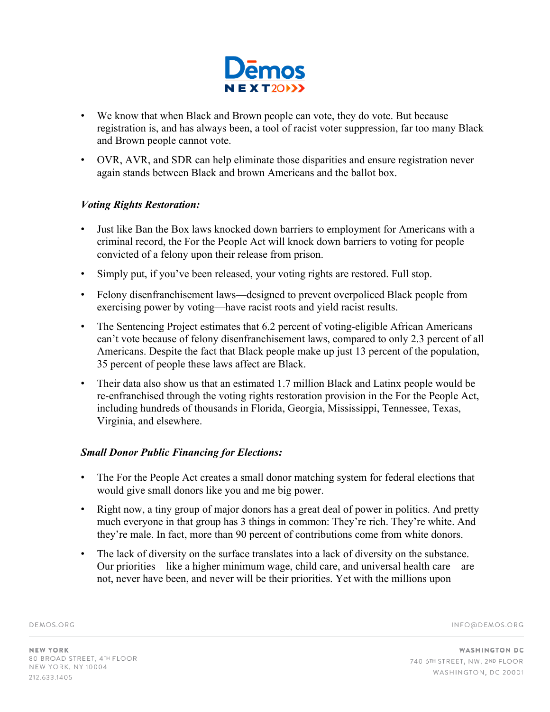

- We know that when Black and Brown people can vote, they do vote. But because registration is, and has always been, a tool of racist voter suppression, far too many Black and Brown people cannot vote.
- OVR, AVR, and SDR can help eliminate those disparities and ensure registration never again stands between Black and brown Americans and the ballot box.

### *Voting Rights Restoration:*

- Just like Ban the Box laws knocked down barriers to employment for Americans with a criminal record, the For the People Act will knock down barriers to voting for people convicted of a felony upon their release from prison.
- Simply put, if you've been released, your voting rights are restored. Full stop.
- Felony disenfranchisement laws—designed to prevent overpoliced Black people from exercising power by voting—have racist roots and yield racist results.
- The Sentencing Project estimates that 6.2 percent of voting-eligible African Americans can't vote because of felony disenfranchisement laws, compared to only 2.3 percent of all Americans. Despite the fact that Black people make up just 13 percent of the population, 35 percent of people these laws affect are Black.
- Their data also show us that an estimated 1.7 million Black and Latinx people would be re-enfranchised through the voting rights restoration provision in the For the People Act, including hundreds of thousands in Florida, Georgia, Mississippi, Tennessee, Texas, Virginia, and elsewhere.

#### *Small Donor Public Financing for Elections:*

- The For the People Act creates a small donor matching system for federal elections that would give small donors like you and me big power.
- Right now, a tiny group of major donors has a great deal of power in politics. And pretty much everyone in that group has 3 things in common: They're rich. They're white. And they're male. In fact, more than 90 percent of contributions come from white donors.
- The lack of diversity on the surface translates into a lack of diversity on the substance. Our priorities—like a higher minimum wage, child care, and universal health care—are not, never have been, and never will be their priorities. Yet with the millions upon

DEMOS.ORG

INFO@DEMOS.ORG